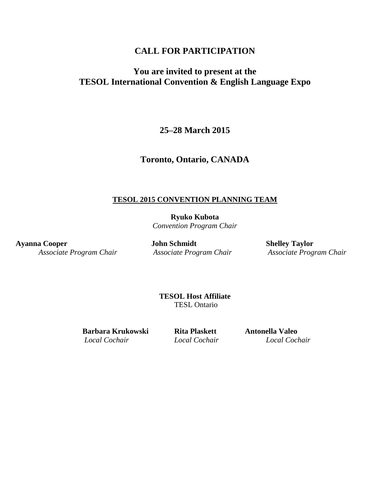# **CALL FOR PARTICIPATION**

# **You are invited to present at the TESOL International Convention & English Language Expo**

# **25–28 March 2015**

### **Toronto, Ontario, CANADA**

#### **TESOL 2015 CONVENTION PLANNING TEAM**

**Ryuko Kubota** *Convention Program Chair*

**Ayanna Cooper John Schmidt Shelley Taylor**

*Associate Program Chair Associate Program Chair Associate Program Chair*

**TESOL Host Affiliate** TESL Ontario

**Barbara Krukowski Rita Plaskett Antonella Valeo** *Local Cochair Local Cochair Local Cochair*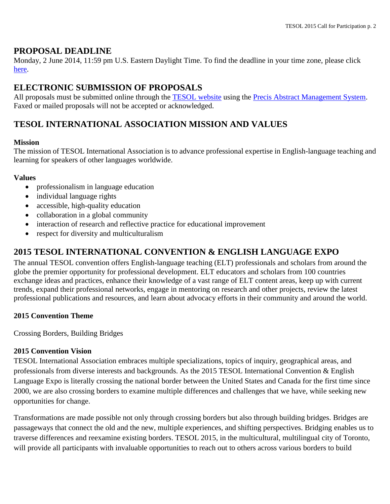### **PROPOSAL DEADLINE**

Monday, 2 June 2014, 11:59 pm U.S. Eastern Daylight Time. To find the deadline in your time zone, please click [here.](http://www.timeanddate.com/worldclock/fixedtime.html?msg=TESOL+2014+Proposal+Deadline&iso=20130603T17&p1=263)

# **ELECTRONIC SUBMISSION OF PROPOSALS**

All proposals must be submitted online through the [TESOL website](http://www.tesol.org/) using the [Precis Abstract Management System.](http://precis2.preciscentral.com/Link.aspx?ID=03AE7F310C8735A4) Faxed or mailed proposals will not be accepted or acknowledged.

# **TESOL INTERNATIONAL ASSOCIATION MISSION AND VALUES**

#### **Mission**

The mission of TESOL International Association is to advance professional expertise in English-language teaching and learning for speakers of other languages worldwide.

#### **Values**

- professionalism in language education
- individual language rights
- accessible, high-quality education
- collaboration in a global community
- interaction of research and reflective practice for educational improvement
- respect for diversity and multiculturalism

# **2015 TESOL INTERNATIONAL CONVENTION & ENGLISH LANGUAGE EXPO**

The annual TESOL convention offers English-language teaching (ELT) professionals and scholars from around the globe the premier opportunity for professional development. ELT educators and scholars from 100 countries exchange ideas and practices, enhance their knowledge of a vast range of ELT content areas, keep up with current trends, expand their professional networks, engage in mentoring on research and other projects, review the latest professional publications and resources, and learn about advocacy efforts in their community and around the world.

#### **2015 Convention Theme**

Crossing Borders, Building Bridges

#### **2015 Convention Vision**

TESOL International Association embraces multiple specializations, topics of inquiry, geographical areas, and professionals from diverse interests and backgrounds. As the 2015 TESOL International Convention & English Language Expo is literally crossing the national border between the United States and Canada for the first time since 2000, we are also crossing borders to examine multiple differences and challenges that we have, while seeking new opportunities for change.

Transformations are made possible not only through crossing borders but also through building bridges. Bridges are passageways that connect the old and the new, multiple experiences, and shifting perspectives. Bridging enables us to traverse differences and reexamine existing borders. TESOL 2015, in the multicultural, multilingual city of Toronto, will provide all participants with invaluable opportunities to reach out to others across various borders to build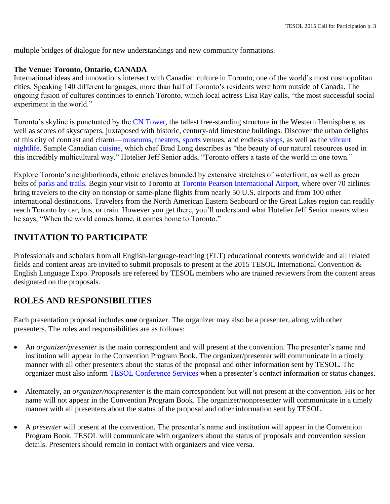multiple bridges of dialogue for new understandings and new community formations.

#### **The Venue: Toronto, Ontario, CANADA**

International ideas and innovations intersect with Canadian culture in Toronto, one of the world's most cosmopolitan cities. Speaking 140 different languages, more than half of Toronto's residents were born outside of Canada. The ongoing fusion of cultures continues to enrich Toronto, which local actress Lisa Ray calls, "the most successful social experiment in the world."

Toronto's skyline is punctuated by the [CN Tower,](http://www.cntower.ca/intro.html) the tallest free-standing structure in the Western Hemisphere, as well as scores of skyscrapers, juxtaposed with historic, century-old limestone buildings. Discover the urban delights of this city of contrast and charm[—museums,](http://www.mytorontomeeting.com/Visitor/Experience/Attractions/Museums.aspx) [theate](http://www.mytorontomeeting.com/Visitor/Experience/Arts-Theatre-and-Culture/Theatre-and-Performing-Arts.aspx)rs, [sports](http://www.mytorontomeeting.com/Visitor/Experience/Sports-and-Recreation.aspx) venues, and endless [shops,](http://www.mytorontomeeting.com/Luxury/Lux-Shopping.aspx) as well as the [vibrant](http://www.mytorontomeeting.com/Visitor/Experience/Entertainment-and-Nightlife.aspx)  [nightlife.](http://www.mytorontomeeting.com/Visitor/Experience/Entertainment-and-Nightlife.aspx) Sample Canadian [cuisine,](http://www.mytorontomeeting.com/Visitor/Experience/Dining.aspx) which chef Brad Long describes as "the beauty of our natural resources used in this incredibly multicultural way." Hotelier Jeff Senior adds, "Toronto offers a taste of the world in one town."

Explore Toronto's neighborhoods, ethnic enclaves bounded by extensive stretches of waterfront, as well as green belts of [parks and trails.](http://www.waterfrontoronto.ca/our_waterfront_vision/parks_and_public_spaces_) Begin your visit to Toronto at [Toronto Pearson International Airport,](http://www.torontopearson.com/) where over 70 airlines bring travelers to the city on nonstop or same-plane flights from nearly 50 U.S. airports and from 100 other international destinations. Travelers from the North American Eastern Seaboard or the Great Lakes region can readily reach Toronto by car, bus, or train. However you get there, you'll understand what Hotelier Jeff Senior means when he says, "When the world comes home, it comes home to Toronto."

# **INVITATION TO PARTICIPATE**

Professionals and scholars from all English-language-teaching (ELT) educational contexts worldwide and all related fields and content areas are invited to submit proposals to present at the 2015 TESOL International Convention & English Language Expo. Proposals are refereed by TESOL members who are trained reviewers from the content areas designated on the proposals.

# **ROLES AND RESPONSIBILITIES**

Each presentation proposal includes **one** organizer. The organizer may also be a presenter, along with other presenters. The roles and responsibilities are as follows:

- An *organizer/presenter* is the main correspondent and will present at the convention. The presenter's name and institution will appear in the Convention Program Book. The organizer/presenter will communicate in a timely manner with all other presenters about the status of the proposal and other information sent by TESOL. The organizer must also inform [TESOL Conference Services](mailto:conventions@tesol.org) when a presenter's contact information or status changes.
- Alternately, an *organizer/nonpresenter* is the main correspondent but will not present at the convention. His or her name will not appear in the Convention Program Book. The organizer/nonpresenter will communicate in a timely manner with all presenters about the status of the proposal and other information sent by TESOL.
- A *presenter* will present at the convention*.* The presenter's name and institution will appear in the Convention Program Book. TESOL will communicate with organizers about the status of proposals and convention session details. Presenters should remain in contact with organizers and vice versa.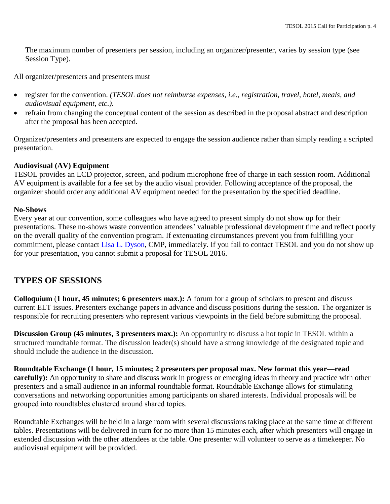The maximum number of presenters per session, including an organizer/presenter, varies by session type (see Session Type).

All organizer/presenters and presenters must

- register for the convention. *(TESOL does not reimburse expenses, i.e., registration, travel, hotel, meals, and audiovisual equipment, etc.).*
- refrain from changing the conceptual content of the session as described in the proposal abstract and description after the proposal has been accepted.

Organizer/presenters and presenters are expected to engage the session audience rather than simply reading a scripted presentation.

#### **Audiovisual (AV) Equipment**

TESOL provides an LCD projector, screen, and podium microphone free of charge in each session room. Additional AV equipment is available for a fee set by the audio visual provider. Following acceptance of the proposal, the organizer should order any additional AV equipment needed for the presentation by the specified deadline.

#### **No-Shows**

Every year at our convention, some colleagues who have agreed to present simply do not show up for their presentations. These no-shows waste convention attendees' valuable professional development time and reflect poorly on the overall quality of the convention program. If extenuating circumstances prevent you from fulfilling your commitment, please contact [Lisa L.](mailto:ldyson@tesol.org) Dyson, CMP, immediately. If you fail to contact TESOL and you do not show up for your presentation, you cannot submit a proposal for TESOL 2016.

# **TYPES OF SESSIONS**

**Colloquium** (**1 hour, 45 minutes; 6 presenters max.):** A forum for a group of scholars to present and discuss current ELT issues. Presenters exchange papers in advance and discuss positions during the session. The organizer is responsible for recruiting presenters who represent various viewpoints in the field before submitting the proposal.

**Discussion Group (45 minutes, 3 presenters max.):** An opportunity to discuss a hot topic in TESOL within a structured roundtable format. The discussion leader(s) should have a strong knowledge of the designated topic and should include the audience in the discussion.

**Roundtable Exchange (1 hour, 15 minutes; 2 presenters per proposal max. New format this year—read carefully):** An opportunity to share and discuss work in progress or emerging ideas in theory and practice with other presenters and a small audience in an informal roundtable format. Roundtable Exchange allows for stimulating conversations and networking opportunities among participants on shared interests. Individual proposals will be grouped into roundtables clustered around shared topics.

Roundtable Exchanges will be held in a large room with several discussions taking place at the same time at different tables. Presentations will be delivered in turn for no more than 15 minutes each, after which presenters will engage in extended discussion with the other attendees at the table. One presenter will volunteer to serve as a timekeeper. No audiovisual equipment will be provided.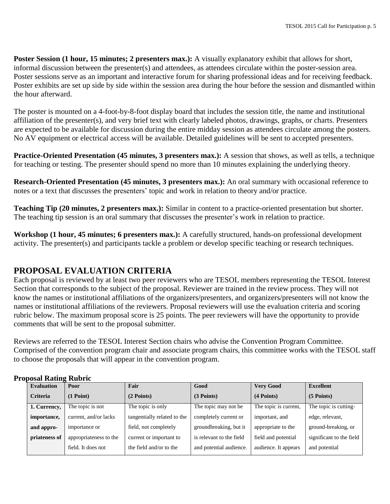**Poster Session (1 hour, 15 minutes; 2 presenters max.):** A visually explanatory exhibit that allows for short, informal discussion between the presenter(s) and attendees, as attendees circulate within the poster-session area. Poster sessions serve as an important and interactive forum for sharing professional ideas and for receiving feedback. Poster exhibits are set up side by side within the session area during the hour before the session and dismantled within the hour afterward.

The poster is mounted on a 4-foot-by-8-foot display board that includes the session title, the name and institutional affiliation of the presenter(s), and very brief text with clearly labeled photos, drawings, graphs, or charts. Presenters are expected to be available for discussion during the entire midday session as attendees circulate among the posters. No AV equipment or electrical access will be available. Detailed guidelines will be sent to accepted presenters.

**Practice-Oriented Presentation (45 minutes, 3 presenters max.):** A session that shows, as well as tells, a technique for teaching or testing. The presenter should spend no more than 10 minutes explaining the underlying theory.

**Research-Oriented Presentation (45 minutes, 3 presenters max.):** An oral summary with occasional reference to notes or a text that discusses the presenters' topic and work in relation to theory and/or practice.

**Teaching Tip (20 minutes, 2 presenters max.):** Similar in content to a practice-oriented presentation but shorter. The teaching tip session is an oral summary that discusses the presenter's work in relation to practice.

**Workshop (1 hour, 45 minutes; 6 presenters max.):** A carefully structured, hands-on professional development activity. The presenter(s) and participants tackle a problem or develop specific teaching or research techniques.

# **PROPOSAL EVALUATION CRITERIA**

Each proposal is reviewed by at least two peer reviewers who are TESOL members representing the TESOL Interest Section that corresponds to the subject of the proposal. Reviewer are trained in the review process. They will not know the names or institutional affiliations of the organizers/presenters, and organizers/presenters will not know the names or institutional affiliations of the reviewers. Proposal reviewers will use the evaluation criteria and scoring rubric below. The maximum proposal score is 25 points. The peer reviewers will have the opportunity to provide comments that will be sent to the proposal submitter.

Reviews are referred to the TESOL Interest Section chairs who advise the Convention Program Committee. Comprised of the convention program chair and associate program chairs, this committee works with the TESOL staff to choose the proposals that will appear in the convention program.

| <b>Evaluation</b> | Poor                   | Fair                        | Good                     | <b>Very Good</b>      | <b>Excellent</b>         |
|-------------------|------------------------|-----------------------------|--------------------------|-----------------------|--------------------------|
| <b>Criteria</b>   | (1 Point)              | $(2$ Points)                | $(3$ Points)             | (4 Points)            | $(5$ Points)             |
| 1. Currency,      | The topic is not       | The topic is only           | The topic may not be     | The topic is current, | The topic is cutting-    |
| importance,       | current, and/or lacks  | tangentially related to the | completely current or    | important, and        | edge, relevant,          |
| and appro-        | importance or          | field, not completely       | groundbreaking, but it   | appropriate to the    | ground-breaking, or      |
| priateness of     | appropriateness to the | current or important to     | is relevant to the field | field and potential   | significant to the field |
|                   | field. It does not     | the field and/or to the     | and potential audience.  | audience. It appears  | and potential            |
|                   |                        |                             |                          |                       |                          |

#### **Proposal Rating Rubric**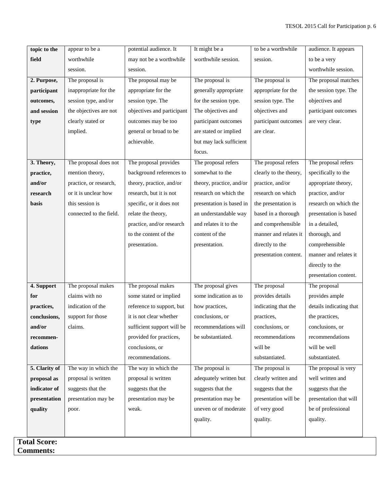| topic to the        | appear to be a          | potential audience. It     | It might be a            | to be a worthwhile     | audience. It appears    |
|---------------------|-------------------------|----------------------------|--------------------------|------------------------|-------------------------|
| field               | worthwhile              | may not be a worthwhile    | worthwhile session.      | session.               | to be a very            |
|                     | session.                | session.                   |                          |                        | worthwhile session.     |
| 2. Purpose,         | The proposal is         | The proposal may be        | The proposal is          | The proposal is        | The proposal matches    |
| participant         | inappropriate for the   | appropriate for the        | generally appropriate    | appropriate for the    | the session type. The   |
| outcomes,           | session type, and/or    | session type. The          | for the session type.    | session type. The      | objectives and          |
| and session         | the objectives are not  | objectives and participant | The objectives and       | objectives and         | participant outcomes    |
| type                | clearly stated or       | outcomes may be too        | participant outcomes     | participant outcomes   | are very clear.         |
|                     | implied.                | general or broad to be     | are stated or implied    | are clear.             |                         |
|                     |                         | achievable.                | but may lack sufficient  |                        |                         |
|                     |                         |                            | focus.                   |                        |                         |
| 3. Theory,          | The proposal does not   | The proposal provides      | The proposal refers      | The proposal refers    | The proposal refers     |
| practice,           | mention theory,         | background references to   | somewhat to the          | clearly to the theory, | specifically to the     |
| and/or              | practice, or research,  | theory, practice, and/or   | theory, practice, and/or | practice, and/or       | appropriate theory,     |
| research            | or it is unclear how    | research, but it is not    | research on which the    | research on which      | practice, and/or        |
| basis               | this session is         | specific, or it does not   | presentation is based in | the presentation is    | research on which the   |
|                     | connected to the field. | relate the theory,         | an understandable way    | based in a thorough    | presentation is based   |
|                     |                         | practice, and/or research  | and relates it to the    | and comprehensible     | in a detailed,          |
|                     |                         | to the content of the      | content of the           | manner and relates it  | thorough, and           |
|                     |                         | presentation.              | presentation.            | directly to the        | comprehensible          |
|                     |                         |                            |                          | presentation content.  | manner and relates it   |
|                     |                         |                            |                          |                        | directly to the         |
|                     |                         |                            |                          |                        | presentation content.   |
| 4. Support          | The proposal makes      | The proposal makes         | The proposal gives       | The proposal           | The proposal            |
| for                 | claims with no          | some stated or implied     | some indication as to    | provides details       | provides ample          |
| practices,          | indication of the       | reference to support, but  | how practices,           | indicating that the    | details indicating that |
| conclusions,        | support for those       | it is not clear whether    | conclusions, or          | practices,             | the practices,          |
| and/or              | claims.                 | sufficient support will be | recommendations will     | conclusions, or        | conclusions, or         |
| recommen-           |                         | provided for practices,    | be substantiated.        | recommendations        | recommendations         |
| dations             |                         | conclusions, or            |                          | will be                | will be well            |
|                     |                         | recommendations.           |                          | substantiated.         | substantiated.          |
| 5. Clarity of       | The way in which the    | The way in which the       | The proposal is          | The proposal is        | The proposal is very    |
| proposal as         | proposal is written     | proposal is written        | adequately written but   | clearly written and    | well written and        |
| indicator of        | suggests that the       | suggests that the          | suggests that the        | suggests that the      | suggests that the       |
| presentation        | presentation may be     | presentation may be        | presentation may be      | presentation will be   | presentation that will  |
| quality             | poor.                   | weak.                      | uneven or of moderate    | of very good           | be of professional      |
|                     |                         |                            | quality.                 | quality.               | quality.                |
|                     |                         |                            |                          |                        |                         |
| <b>Total Score:</b> |                         |                            |                          |                        |                         |
| <b>Comments:</b>    |                         |                            |                          |                        |                         |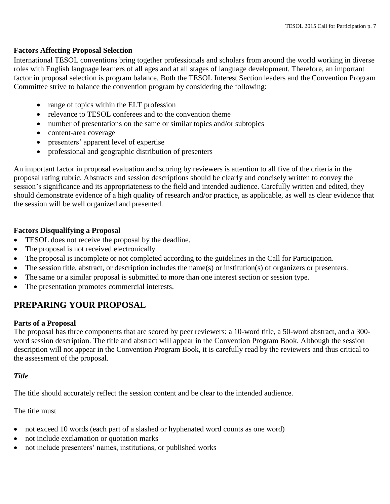#### **Factors Affecting Proposal Selection**

International TESOL conventions bring together professionals and scholars from around the world working in diverse roles with English language learners of all ages and at all stages of language development. Therefore, an important factor in proposal selection is program balance. Both the TESOL Interest Section leaders and the Convention Program Committee strive to balance the convention program by considering the following:

- range of topics within the ELT profession
- relevance to TESOL conferees and to the convention theme
- number of presentations on the same or similar topics and/or subtopics
- content-area coverage
- presenters' apparent level of expertise
- professional and geographic distribution of presenters

An important factor in proposal evaluation and scoring by reviewers is attention to all five of the criteria in the proposal rating rubric. Abstracts and session descriptions should be clearly and concisely written to convey the session's significance and its appropriateness to the field and intended audience. Carefully written and edited, they should demonstrate evidence of a high quality of research and/or practice, as applicable, as well as clear evidence that the session will be well organized and presented.

#### **Factors Disqualifying a Proposal**

- TESOL does not receive the proposal by the deadline.
- The proposal is not received electronically.
- The proposal is incomplete or not completed according to the guidelines in the Call for Participation.
- The session title, abstract, or description includes the name(s) or institution(s) of organizers or presenters.
- The same or a similar proposal is submitted to more than one interest section or session type.
- The presentation promotes commercial interests.

# **PREPARING YOUR PROPOSAL**

#### **Parts of a Proposal**

The proposal has three components that are scored by peer reviewers: a 10-word title, a 50-word abstract, and a 300 word session description. The title and abstract will appear in the Convention Program Book. Although the session description will not appear in the Convention Program Book, it is carefully read by the reviewers and thus critical to the assessment of the proposal.

#### *Title*

The title should accurately reflect the session content and be clear to the intended audience.

#### The title must

- not exceed 10 words (each part of a slashed or hyphenated word counts as one word)
- not include exclamation or quotation marks
- not include presenters' names, institutions, or published works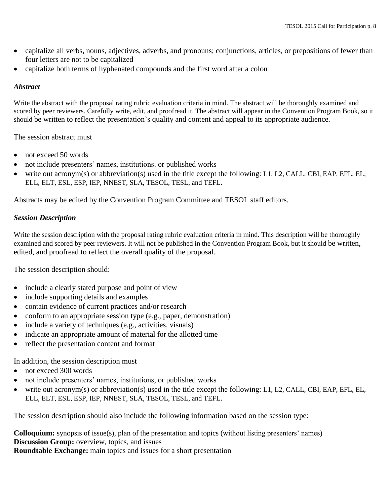- capitalize all verbs, nouns, adjectives, adverbs, and pronouns; conjunctions, articles, or prepositions of fewer than four letters are not to be capitalized
- capitalize both terms of hyphenated compounds and the first word after a colon

#### *Abstract*

Write the abstract with the proposal rating rubric evaluation criteria in mind. The abstract will be thoroughly examined and scored by peer reviewers. Carefully write, edit, and proofread it. The abstract will appear in the Convention Program Book, so it should be written to reflect the presentation's quality and content and appeal to its appropriate audience.

The session abstract must

- not exceed 50 words
- not include presenters' names, institutions. or published works
- write out acronym(s) or abbreviation(s) used in the title except the following: L1, L2, CALL, CBI, EAP, EFL, EL, ELL, ELT, ESL, ESP, IEP, NNEST, SLA, TESOL, TESL, and TEFL.

Abstracts may be edited by the Convention Program Committee and TESOL staff editors.

#### *Session Description*

Write the session description with the proposal rating rubric evaluation criteria in mind. This description will be thoroughly examined and scored by peer reviewers. It will not be published in the Convention Program Book, but it should be written, edited, and proofread to reflect the overall quality of the proposal.

The session description should:

- include a clearly stated purpose and point of view
- include supporting details and examples
- contain evidence of current practices and/or research
- conform to an appropriate session type (e.g., paper, demonstration)
- include a variety of techniques (e.g., activities, visuals)
- indicate an appropriate amount of material for the allotted time
- reflect the presentation content and format

In addition, the session description must

- not exceed 300 words
- not include presenters' names, institutions, or published works
- write out acronym(s) or abbreviation(s) used in the title except the following: L1, L2, CALL, CBI, EAP, EFL, EL, ELL, ELT, ESL, ESP, IEP, NNEST, SLA, TESOL, TESL, and TEFL.

The session description should also include the following information based on the session type:

**Colloquium:** synopsis of issue(s), plan of the presentation and topics (without listing presenters' names) **Discussion Group:** overview, topics, and issues **Roundtable Exchange:** main topics and issues for a short presentation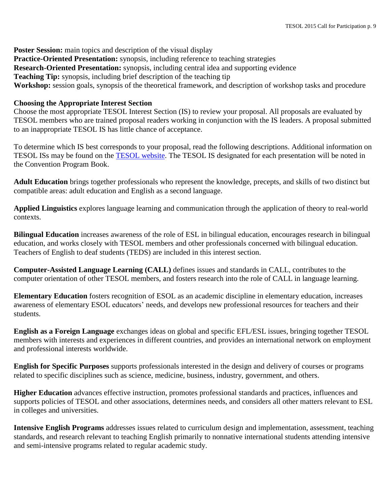**Poster Session:** main topics and description of the visual display **Practice-Oriented Presentation:** synopsis, including reference to teaching strategies **Research-Oriented Presentation:** synopsis, including central idea and supporting evidence **Teaching Tip:** synopsis, including brief description of the teaching tip Workshop: session goals, synopsis of the theoretical framework, and description of workshop tasks and procedure

#### **Choosing the Appropriate Interest Section**

Choose the most appropriate TESOL Interest Section (IS) to review your proposal. All proposals are evaluated by TESOL members who are trained proposal readers working in conjunction with the IS leaders. A proposal submitted to an inappropriate TESOL IS has little chance of acceptance.

To determine which IS best corresponds to your proposal, read the following descriptions. Additional information on TESOL ISs may be found on the TESOL [website.](http://www.tesol.org/connect/interest-sections) The TESOL IS designated for each presentation will be noted in the Convention Program Book.

**Adult Education** brings together professionals who represent the knowledge, precepts, and skills of two distinct but compatible areas: adult education and English as a second language.

**Applied Linguistics** explores language learning and communication through the application of theory to real-world contexts.

**Bilingual Education** increases awareness of the role of ESL in bilingual education, encourages research in bilingual education, and works closely with TESOL members and other professionals concerned with bilingual education. Teachers of English to deaf students (TEDS) are included in this interest section.

**Computer-Assisted Language Learning (CALL)** defines issues and standards in CALL, contributes to the computer orientation of other TESOL members, and fosters research into the role of CALL in language learning.

**Elementary Education** fosters recognition of ESOL as an academic discipline in elementary education, increases awareness of elementary ESOL educators' needs, and develops new professional resources for teachers and their students.

**English as a Foreign Language** exchanges ideas on global and specific EFL/ESL issues, bringing together TESOL members with interests and experiences in different countries, and provides an international network on employment and professional interests worldwide.

**English for Specific Purposes** supports professionals interested in the design and delivery of courses or programs related to specific disciplines such as science, medicine, business, industry, government, and others.

**Higher Education** advances effective instruction, promotes professional standards and practices, influences and supports policies of TESOL and other associations, determines needs, and considers all other matters relevant to ESL in colleges and universities.

**Intensive English Programs** addresses issues related to curriculum design and implementation, assessment, teaching standards, and research relevant to teaching English primarily to nonnative international students attending intensive and semi-intensive programs related to regular academic study.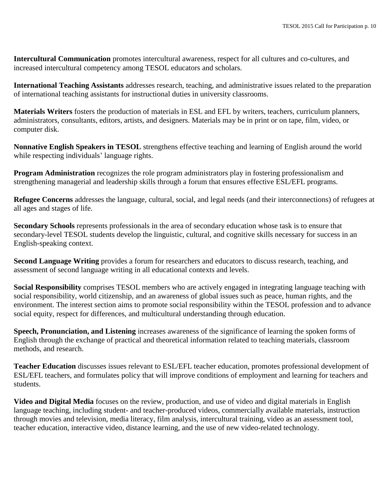**Intercultural Communication** promotes intercultural awareness, respect for all cultures and co-cultures, and increased intercultural competency among TESOL educators and scholars.

**International Teaching Assistants** addresses research, teaching, and administrative issues related to the preparation of international teaching assistants for instructional duties in university classrooms.

**Materials Writers** fosters the production of materials in ESL and EFL by writers, teachers, curriculum planners, administrators, consultants, editors, artists, and designers. Materials may be in print or on tape, film, video, or computer disk.

**Nonnative English Speakers in TESOL** strengthens effective teaching and learning of English around the world while respecting individuals' language rights.

**Program Administration** recognizes the role program administrators play in fostering professionalism and strengthening managerial and leadership skills through a forum that ensures effective ESL/EFL programs.

**Refugee Concerns** addresses the language, cultural, social, and legal needs (and their interconnections) of refugees at all ages and stages of life.

**Secondary Schools** represents professionals in the area of secondary education whose task is to ensure that secondary-level TESOL students develop the linguistic, cultural, and cognitive skills necessary for success in an English-speaking context.

**Second Language Writing** provides a forum for researchers and educators to discuss research, teaching, and assessment of second language writing in all educational contexts and levels.

**Social Responsibility** comprises TESOL members who are actively engaged in integrating language teaching with social responsibility, world citizenship, and an awareness of global issues such as peace, human rights, and the environment. The interest section aims to promote social responsibility within the TESOL profession and to advance social equity, respect for differences, and multicultural understanding through education.

**Speech, Pronunciation, and Listening** increases awareness of the significance of learning the spoken forms of English through the exchange of practical and theoretical information related to teaching materials, classroom methods, and research.

**Teacher Education** discusses issues relevant to ESL/EFL teacher education, promotes professional development of ESL/EFL teachers, and formulates policy that will improve conditions of employment and learning for teachers and students.

**Video and Digital Media** focuses on the review, production, and use of video and digital materials in English language teaching, including student- and teacher-produced videos, commercially available materials, instruction through movies and television, media literacy, film analysis, intercultural training, video as an assessment tool, teacher education, interactive video, distance learning, and the use of new video-related technology.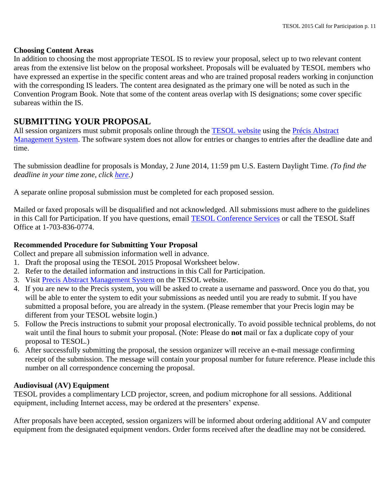#### **Choosing Content Areas**

In addition to choosing the most appropriate TESOL IS to review your proposal, select up to two relevant content areas from the extensive list below on the proposal worksheet. Proposals will be evaluated by TESOL members who have expressed an expertise in the specific content areas and who are trained proposal readers working in conjunction with the corresponding IS leaders. The content area designated as the primary one will be noted as such in the Convention Program Book. Note that some of the content areas overlap with IS designations; some cover specific subareas within the IS.

# **SUBMITTING YOUR PROPOSAL**

All session organizers must submit proposals online through the [TESOL website](http://www.tesol.org/) using the Précis Abstract [Management System.](http://precis2.preciscentral.com/Link.aspx?ID=03AE7F310C8735A4) The software system does not allow for entries or changes to entries after the deadline date and time.

The submission deadline for proposals is Monday, 2 June 2014, 11:59 pm U.S. Eastern Daylight Time. *(To find the deadline in your time zone, click [here.](http://www.timeanddate.com/worldclock/fixedtime.html?msg=TESOL+2013+Proposal+Deadline&iso=20120601T17&p1=263))*

A separate online proposal submission must be completed for each proposed session.

Mailed or faxed proposals will be disqualified and not acknowledged. All submissions must adhere to the guidelines in this Call for Participation. If you have questions, email [TESOL Conference Services](mailto:conventions@tesol.org) or call the TESOL Staff Office at 1-703-836-0774.

#### **Recommended Procedure for Submitting Your Proposal**

Collect and prepare all submission information well in advance.

- 1. Draft the proposal using the TESOL 2015 Proposal Worksheet below.
- 2. Refer to the detailed information and instructions in this Call for Participation.
- 3. Visit [Precis Abstract Management System](http://precis2.preciscentral.com/Link.aspx?ID=03AE7F310C8735A4) on the TESOL website.
- 4. If you are new to the Precis system, you will be asked to create a username and password. Once you do that, you will be able to enter the system to edit your submissions as needed until you are ready to submit. If you have submitted a proposal before, you are already in the system. (Please remember that your Precis login may be different from your TESOL website login.)
- 5. Follow the Precis instructions to submit your proposal electronically. To avoid possible technical problems, do not wait until the final hours to submit your proposal. (Note: Please do **not** mail or fax a duplicate copy of your proposal to TESOL.)
- 6. After successfully submitting the proposal, the session organizer will receive an e-mail message confirming receipt of the submission. The message will contain your proposal number for future reference. Please include this number on all correspondence concerning the proposal.

#### **Audiovisual (AV) Equipment**

TESOL provides a complimentary LCD projector, screen, and podium microphone for all sessions. Additional equipment, including Internet access, may be ordered at the presenters' expense.

After proposals have been accepted, session organizers will be informed about ordering additional AV and computer equipment from the designated equipment vendors. Order forms received after the deadline may not be considered.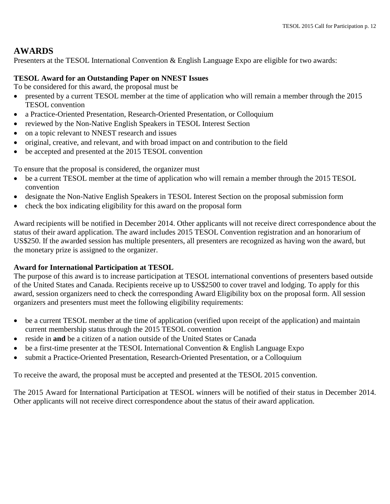### **AWARDS**

Presenters at the TESOL International Convention & English Language Expo are eligible for two awards:

#### **TESOL Award for an Outstanding Paper on NNEST Issues**

To be considered for this award, the proposal must be

- presented by a current TESOL member at the time of application who will remain a member through the 2015 TESOL convention
- a Practice-Oriented Presentation, Research-Oriented Presentation, or Colloquium
- reviewed by the Non-Native English Speakers in TESOL Interest Section
- on a topic relevant to NNEST research and issues
- original, creative, and relevant, and with broad impact on and contribution to the field
- be accepted and presented at the 2015 TESOL convention

To ensure that the proposal is considered, the organizer must

- be a current TESOL member at the time of application who will remain a member through the 2015 TESOL convention
- designate the Non-Native English Speakers in TESOL Interest Section on the proposal submission form
- check the box indicating eligibility for this award on the proposal form

Award recipients will be notified in December 2014. Other applicants will not receive direct correspondence about the status of their award application. The award includes 2015 TESOL Convention registration and an honorarium of US\$250. If the awarded session has multiple presenters, all presenters are recognized as having won the award, but the monetary prize is assigned to the organizer.

#### **Award for International Participation at TESOL**

The purpose of this award is to increase participation at TESOL international conventions of presenters based outside of the United States and Canada. Recipients receive up to US\$2500 to cover travel and lodging. To apply for this award, session organizers need to check the corresponding Award Eligibility box on the proposal form. All session organizers and presenters must meet the following eligibility requirements:

- be a current TESOL member at the time of application (verified upon receipt of the application) and maintain current membership status through the 2015 TESOL convention
- reside in **and** be a citizen of a nation outside of the United States or Canada
- be a first-time presenter at the TESOL International Convention & English Language Expo
- submit a Practice-Oriented Presentation, Research-Oriented Presentation, or a Colloquium

To receive the award, the proposal must be accepted and presented at the TESOL 2015 convention.

The 2015 Award for International Participation at TESOL winners will be notified of their status in December 2014. Other applicants will not receive direct correspondence about the status of their award application.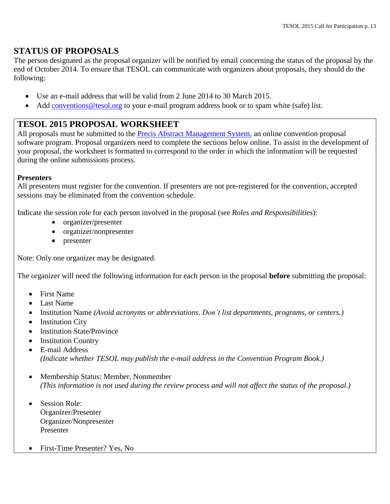### **STATUS OF PROPOSALS**

The person designated as the proposal organizer will be notified by email concerning the status of the proposal by the end of October 2014. To ensure that TESOL can communicate with organizers about proposals, they should do the following:

- Use an e-mail address that will be valid from 2 June 2014 to 30 March 2015.
- Add conventions @tesol.org to your e-mail program address book or to spam white (safe) list.

### **TESOL 2015 PROPOSAL WORKSHEET**

All proposals must be submitted to the [Precis Abstract Management System,](http://precis2.preciscentral.com/Link.aspx?ID=03AE7F310C8735A4) an online convention proposal software program. Proposal organizers need to complete the sections below online. To assist in the development of your proposal, the worksheet is formatted to correspond to the order in which the information will be requested during the online submissions process.

#### **Presenters**

All presenters must register for the convention. If presenters are not pre-registered for the convention, accepted sessions may be eliminated from the convention schedule.

Indicate the session role for each person involved in the proposal (see *Roles and Responsibilities*):

- organizer/presenter
- organizer/nonpresenter
- presenter

Note: Only one organizer may be designated.

The organizer will need the following information for each person in the proposal **before** submitting the proposal:

- First Name
- Last Name
- Institution Name *(Avoid acronyms or abbreviations. Don't list departments, programs, or centers.)*
- Institution City
- Institution State/Province
- Institution Country
- E-mail Address *(Indicate whether TESOL may publish the e-mail address in the Convention Program Book.)*
- Membership Status: Member, Nonmember *(This information is not used during the review process and will not affect the status of the proposal.)*
- Session Role: Organizer/Presenter Organizer/Nonpresenter Presenter
- First-Time Presenter? Yes, No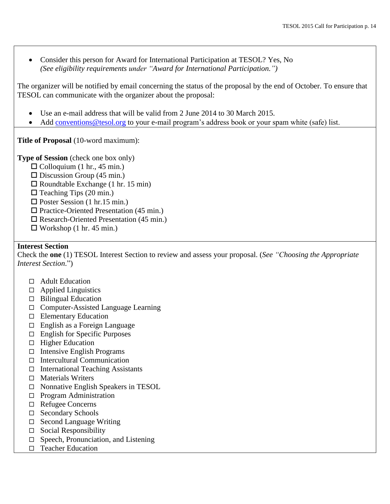Consider this person for Award for International Participation at TESOL? Yes, No *(See eligibility requirements under "Award for International Participation.")*

The organizer will be notified by email concerning the status of the proposal by the end of October. To ensure that TESOL can communicate with the organizer about the proposal:

- Use an e-mail address that will be valid from 2 June 2014 to 30 March 2015.
- Add [conventions@tesol.org](mailto:conventions@tesol.org) to your e-mail program's address book or your spam white (safe) list.

**Title of Proposal** (10-word maximum):

**Type of Session** (check one box only)

- $\Box$  Colloquium (1 hr., 45 min.)
- $\Box$  Discussion Group (45 min.)
- $\Box$  Roundtable Exchange (1 hr. 15 min)
- $\Box$  Teaching Tips (20 min.)
- $\Box$  Poster Session (1 hr.15 min.)
- $\Box$  Practice-Oriented Presentation (45 min.)
- $\Box$  Research-Oriented Presentation (45 min.)
- $\Box$  Workshop (1 hr. 45 min.)

#### **Interest Section**

Check the **one** (1) TESOL Interest Section to review and assess your proposal. (*See "Choosing the Appropriate Interest Section*.")

- □ [Adult Education](http://www.tesol.org/s_tesol/seccss.asp?CID=260&DID=1733)
- $\Box$  [Applied Linguistics](http://www.tesol.org/s_tesol/seccss.asp?CID=299&DID=1804)
- $\Box$  [Bilingual Education](http://www.tesol.org/s_tesol/seccss.asp?CID=303&DID=1808)
- □ [Computer-Assisted Language Learning](http://www.tesol.org/s_tesol/seccss.asp?CID=300&DID=1805)
- $\Box$  [Elementary Education](http://www.tesol.org/s_tesol/seccss.asp?CID=307&DID=1812)
- $\Box$  [English as a Foreign Language](http://www.tesol.org/s_tesol/seccss.asp?CID=301&DID=1806)
- $\Box$  [English for Specific Purposes](http://www.tesol.org/s_tesol/seccss.asp?CID=302&DID=1807)
- $\Box$  [Higher Education](http://www.tesol.org/s_tesol/seccss.asp?CID=304&DID=1809)
- $\Box$  [Intensive English Programs](http://www.tesol.org/s_tesol/seccss.asp?CID=310&DID=1815)
- $\Box$  [Intercultural Communication](http://www.tesol.org/s_tesol/seccss.asp?CID=308&DID=1813)
- $\Box$  [International Teaching Assistants](http://www.tesol.org/s_tesol/seccss.asp?CID=309&DID=1814)
- $\Box$  [Materials Writers](http://www.tesol.org/s_tesol/seccss.asp?CID=311&DID=1816)
- □ [Nonnative English Speakers in TESOL](http://www.tesol.org/s_tesol/seccss.asp?CID=294&DID=1796)
- $\Box$  [Program Administration](http://www.tesol.org/s_tesol/seccss.asp?CID=312&DID=1817)
- [Refugee Concerns](http://www.tesol.org/s_tesol/seccss.asp?CID=313&DID=1818)
- □ [Secondary Schools](http://www.tesol.org/s_tesol/seccss.asp?CID=305&DID=1810)
- $\Box$  [Second Language Writing](http://www.tesol.org/s_tesol/seccss.asp?CID=929&DID=4127)
- $\Box$  [Social Responsibility](http://www.tesol.org/s_tesol/seccss.asp?CID=2017&DID=12493)
- $\Box$  [Speech, Pronunciation, and Listening](http://www.tesol.org/s_tesol/seccss.asp?CID=315&DID=1820)
- $\Box$  [Teacher Education](http://www.tesol.org/s_tesol/seccss.asp?CID=316&DID=1821)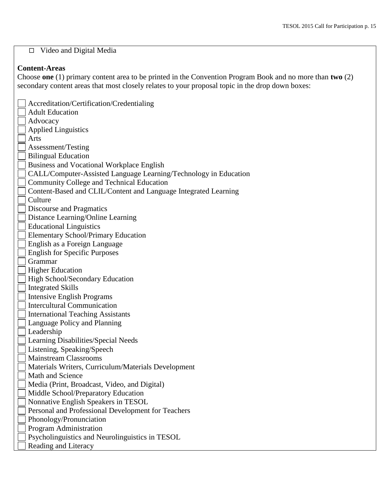# [Video and Digital Media](http://www.tesol.org/s_tesol/seccss.asp?CID=317&DID=1822)

#### **Content-Areas**

Choose **one** (1) primary content area to be printed in the Convention Program Book and no more than **two** (2) secondary content areas that most closely relates to your proposal topic in the drop down boxes:

| Accreditation/Certification/Credentialing                        |
|------------------------------------------------------------------|
| <b>Adult Education</b>                                           |
| Advocacy                                                         |
| <b>Applied Linguistics</b>                                       |
| Arts                                                             |
| Assessment/Testing                                               |
| <b>Bilingual Education</b>                                       |
| <b>Business and Vocational Workplace English</b>                 |
| CALL/Computer-Assisted Language Learning/Technology in Education |
| <b>Community College and Technical Education</b>                 |
| Content-Based and CLIL/Content and Language Integrated Learning  |
| Culture                                                          |
| Discourse and Pragmatics                                         |
| Distance Learning/Online Learning                                |
| <b>Educational Linguistics</b>                                   |
| <b>Elementary School/Primary Education</b>                       |
| English as a Foreign Language                                    |
| <b>English for Specific Purposes</b>                             |
| Grammar                                                          |
| <b>Higher Education</b>                                          |
| High School/Secondary Education                                  |
| <b>Integrated Skills</b>                                         |
| <b>Intensive English Programs</b>                                |
| <b>Intercultural Communication</b>                               |
| <b>International Teaching Assistants</b>                         |
| Language Policy and Planning                                     |
| Leadership                                                       |
| Learning Disabilities/Special Needs                              |
| Listening, Speaking/Speech                                       |
| <b>Mainstream Classrooms</b>                                     |
| Materials Writers, Curriculum/Materials Development              |
| Math and Science                                                 |
| Media (Print, Broadcast, Video, and Digital)                     |
| Middle School/Preparatory Education                              |
| Nonnative English Speakers in TESOL                              |
| Personal and Professional Development for Teachers               |
| Phonology/Pronunciation                                          |
| Program Administration                                           |
| Psycholinguistics and Neurolinguistics in TESOL                  |
| Reading and Literacy                                             |